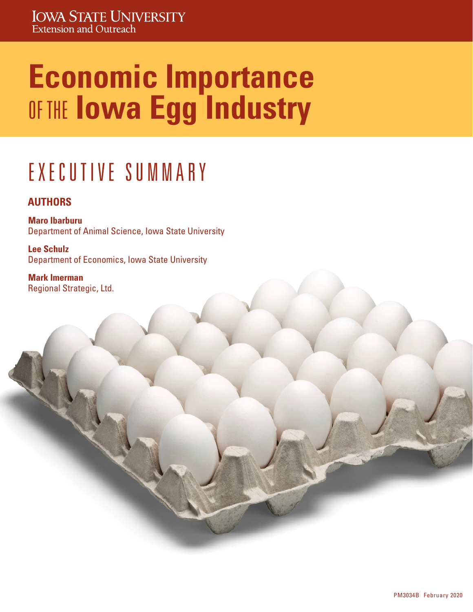# **Economic Importance**  OF THE **Iowa Egg Industry**

## E X E C U T I V E S U M M A R Y

#### **AUTHORS**

**Maro Ibarburu** Department of Animal Science, Iowa State University

**Lee Schulz** Department of Economics, Iowa State University

**Mark Imerman** Regional Strategic, Ltd.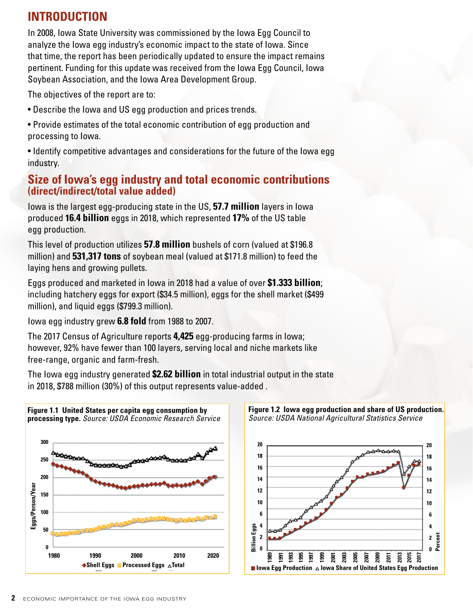### **INTRODUCTION**

In 2008, Iowa State University was commissioned by the Iowa Egg Council to analyze the Iowa egg industry's economic impact to the state of Iowa. Since that time, the report has been periodically updated to ensure the impact remains pertinent. Funding for this update was received from the Iowa Egg Council, Iowa Soybean Association, and the Iowa Area Development Group.

The objectives of the report are to:

- Describe the Iowa and US egg production and prices trends.
- Provide estimates of the total economic contribution of egg production and processing to Iowa.
- Identify competitive advantages and considerations for the future of the Iowa egg industry.

#### **Size of Iowa's egg industry and total economic contributions (direct/indirect/total value added)**

Iowa is the largest egg-producing state in the US, **57.7 million** layers in Iowa produced **16.4 billion** eggs in 2018, which represented **17%** of the US table egg production.

This level of production utilizes **57.8 million** bushels of corn (valued at \$196.8 million) and **531,317 tons** of soybean meal (valued at \$171.8 million) to feed the laying hens and growing pullets.

Eggs produced and marketed in Iowa in 2018 had a value of over **\$1.333 billion**; including hatchery eggs for export (\$34.5 million), eggs for the shell market (\$499 million), and liquid eggs (\$799.3 million).

Iowa egg industry grew **6.8 fold** from 1988 to 2007.

The 2017 Census of Agriculture reports **4,425** egg-producing farms in Iowa; however, 92% have fewer than 100 layers, serving local and niche markets like free-range, organic and farm-fresh.

The Iowa egg industry generated **\$2.62 billion** in total industrial output in the state in 2018, \$788 million (30%) of this output represents value-added .



*Source: USDA National Agricultural Statistics Service* **20 20 18 18 16 16 14 14 12 12 10 10 6 6 Billion Eggs 4 4 Billion Eggs 2 Percent 2 0 0 1989 1993 1995 1997 1999** <u>ទ្</u>ត <u>ទ្ថ</u>  **2003 2005**  <u>້ອ</u>  **2009**  <u>ន</u> <u>ន</u> <u>ន</u> <u>ន</u> ■ Iowa Egg Production △ Iowa Share of United States Egg Production

**Figure 1.2 Iowa egg production and share of US production.**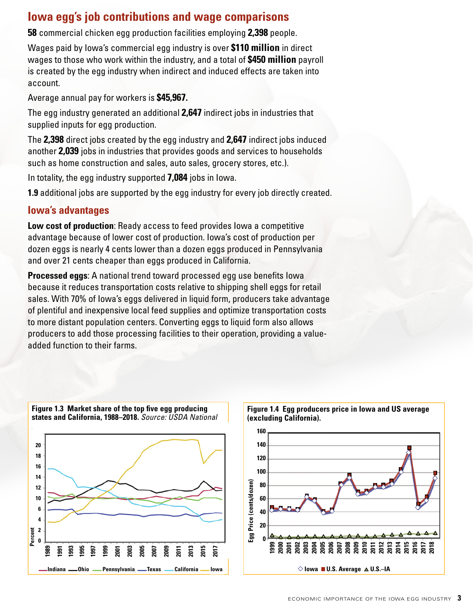#### **Iowa egg's job contributions and wage comparisons**

**58** commercial chicken egg production facilities employing **2,398** people.

Wages paid by Iowa's commercial egg industry is over **\$110 million** in direct wages to those who work within the industry, and a total of **\$450 million** payroll is created by the egg industry when indirect and induced effects are taken into account.

Average annual pay for workers is **\$45,967.**

The egg industry generated an additional **2,647** indirect jobs in industries that supplied inputs for egg production.

The **2,398** direct jobs created by the egg industry and **2,647** indirect jobs induced another **2,039** jobs in industries that provides goods and services to households such as home construction and sales, auto sales, grocery stores, etc.).

In totality, the egg industry supported **7,084** jobs in Iowa.

**1.9** additional jobs are supported by the egg industry for every job directly created.

#### **Iowa's advantages**

**Low cost of production**: Ready access to feed provides Iowa a competitive advantage because of lower cost of production. Iowa's cost of production per dozen eggs is nearly 4 cents lower than a dozen eggs produced in Pennsylvania and over 21 cents cheaper than eggs produced in California.

**Processed eggs**: A national trend toward processed egg use benefits Iowa because it reduces transportation costs relative to shipping shell eggs for retail sales. With 70% of Iowa's eggs delivered in liquid form, producers take advantage of plentiful and inexpensive local feed supplies and optimize transportation costs to more distant population centers. Converting eggs to liquid form also allows producers to add those processing facilities to their operation, providing a valueadded function to their farms.



**Figure 1.3 Market share of the top five egg producing** 

**Figure 1.4 Egg producers price in Iowa and US average (excluding California). 160**